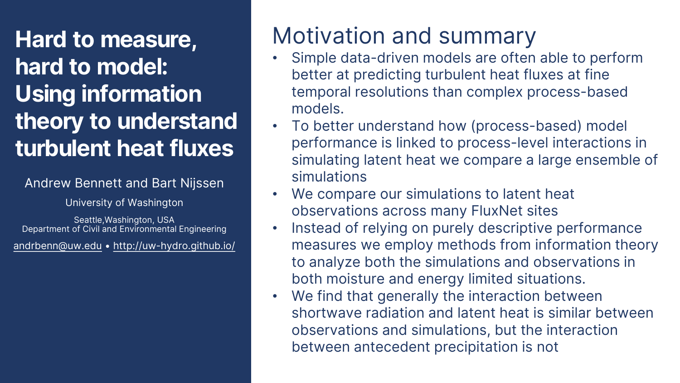**Hard to measure, hard to model: Using information theory to understand turbulent heat fluxes**

#### Andrew Bennett and Bart Nijssen

University of Washington

Seattle,Washington, USA Department of Civil and Environmental Engineering

[andrbenn@uw.edu](mailto:andrbenn@uw.edu) • <http://uw-hydro.github.io/>

# Motivation and summary

- Simple data-driven models are often able to perform better at predicting turbulent heat fluxes at fine temporal resolutions than complex process-based models.
- To better understand how (process-based) model performance is linked to process-level interactions in simulating latent heat we compare a large ensemble of simulations
- We compare our simulations to latent heat observations across many FluxNet sites
- Instead of relying on purely descriptive performance measures we employ methods from information theory to analyze both the simulations and observations in both moisture and energy limited situations.
- We find that generally the interaction between shortwave radiation and latent heat is similar between observations and simulations, but the interaction between antecedent precipitation is not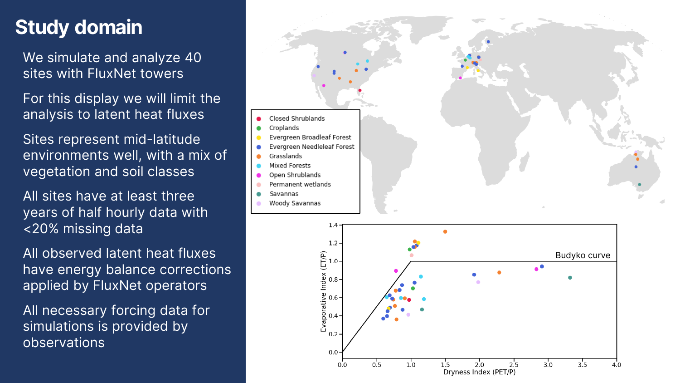### **Study domain**

We simulate and analyze 40 sites with FluxNet towers

For this display we will limit the analysis to latent heat fluxes

Sites represent mid -latitude environments well, with a mix of vegetation and soil classes

All sites have at least three years of half hourly data with <20% missing data

All observed latent heat fluxes have energy balance corrections applied by FluxNet operators

All necessary forcing data for simulations is provided by observations



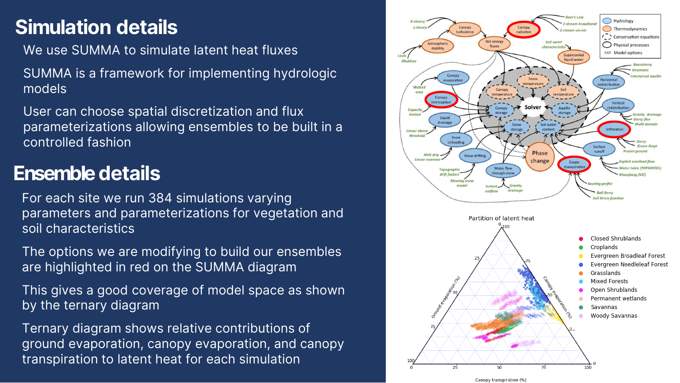### **Simulation details**

We use SUMMA to simulate latent heat fluxes

SUMMA is a framework for implementing hydrologic models

User can choose spatial discretization and flux parameterizations allowing ensembles to be built in a controlled fashion

### **Ensemble details**

For each site we run 384 simulations varying parameters and parameterizations for vegetation and soil characteristics

The options we are modifying to build our ensembles are highlighted in red on the SUMMA diagram

This gives a good coverage of model space as shown by the ternary diagram

Ternary diagram shows relative contributions of ground evaporation, canopy evaporation, and canopy transpiration to latent heat for each simulation

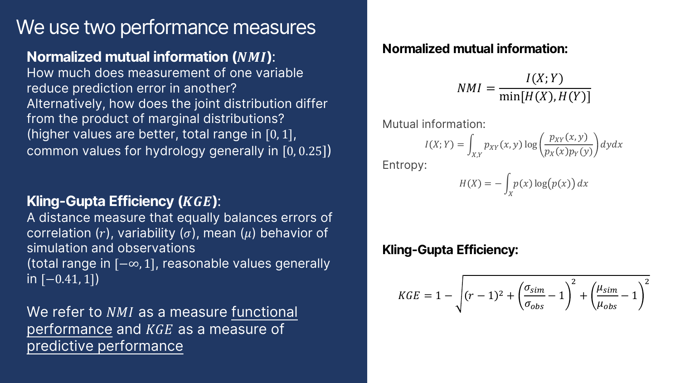### We use two performance measures

#### **Normalized mutual information (***NMI***):**

How much does measurement of one variable reduce prediction error in another? Alternatively, how does the joint distribution differ from the product of marginal distributions? (higher values are better, total range in [0, 1], common values for hydrology generally in  $[0, 0.25]$ )

#### **Kling-Gupta Efficiency (***KGE***):**

A distance measure that equally balances errors of correlation (r), variability ( $\sigma$ ), mean ( $\mu$ ) behavior of simulation and observations (total range in [−∞, 1], reasonable values generally  $in [-0.41, 1])$ 

We refer to  $NMI$  as a measure functional performance and  $KGE$  as a measure of predictive performance

#### **Normalized mutual information:**

$$
NMI = \frac{I(X;Y)}{\min[H(X),H(Y)]}
$$

Mutual information:

$$
I(X;Y) = \int_{X,Y} p_{XY}(x,y) \log \left( \frac{p_{XY}(x,y)}{p_X(x)p_Y(y)} \right) dy dx
$$

Entropy:

$$
H(X) = -\int_X p(x) \log(p(x)) dx
$$

#### **Kling-Gupta Efficiency:**

$$
KGE = 1 - \sqrt{(r-1)^2 + \left(\frac{\sigma_{sim}}{\sigma_{obs}} - 1\right)^2 + \left(\frac{\mu_{sim}}{\mu_{obs}} - 1\right)^2}
$$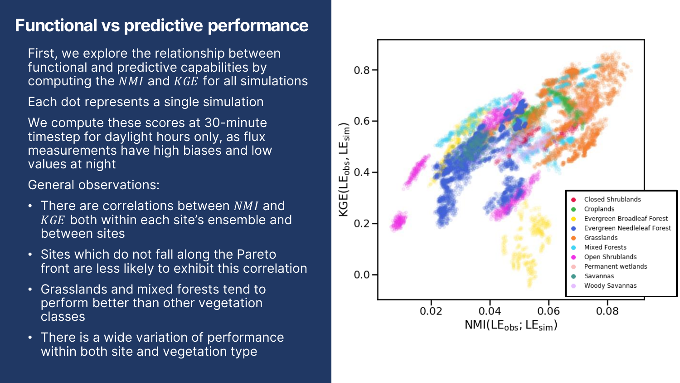### **Functional vs predictive performance**

First, we explore the relationship between functional and predictive capabilities by computing the  $NMI$  and  $KGE$  for all simulations

Each dot represents a single simulation

We compute these scores at 30-minute timestep for daylight hours only, as flux measurements have high biases and low values at night

General observations:

- There are correlations between  $NMI$  and KGE both within each site's ensemble and between sites
- Sites which do not fall along the Pareto front are less likely to exhibit this correlation
- Grasslands and mixed forests tend to perform better than other vegetation classes
- There is a wide variation of performance within both site and vegetation type

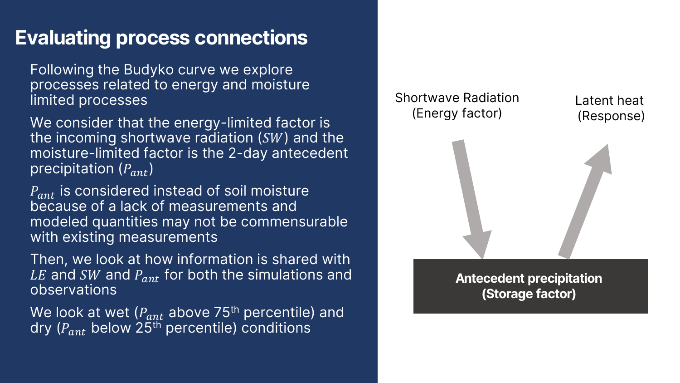### **Evaluating process connections**

Following the Budyko curve we explore processes related to energy and moisture limited processes

We consider that the energy-limited factor is the incoming shortwave radiation  $(SW)$  and the moisture-limited factor is the 2-day antecedent precipitation  $(P_{ant})$ 

 $P_{ant}$  is considered instead of soil moisture because of a lack of measurements and modeled quantities may not be commensurable with existing measurements

Then, we look at how information is shared with LE and SW and  $P_{ant}$  for both the simulations and observations

We look at wet  $(P_{ant}$  above 75<sup>th</sup> percentile) and dry ( $P_{ant}$  below 25<sup>th</sup> percentile) conditions

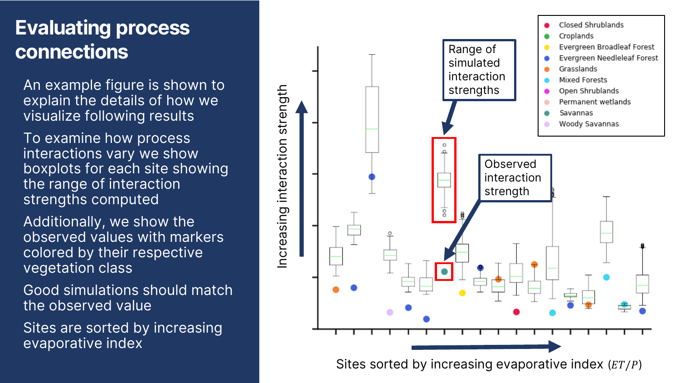# **Evaluating process connections**

An example figure is shown to explain the details of how we visualize following results

To examine how process interactions vary we show boxplots for each site showing the range of interaction strengths computed

Additionally, we show the observed values with markers colored by their respective vegetation class

Good simulations should match the observed value

Sites are sorted by increasing evaporative index



Sites sorted by increasing evaporative index  $(ET/P)$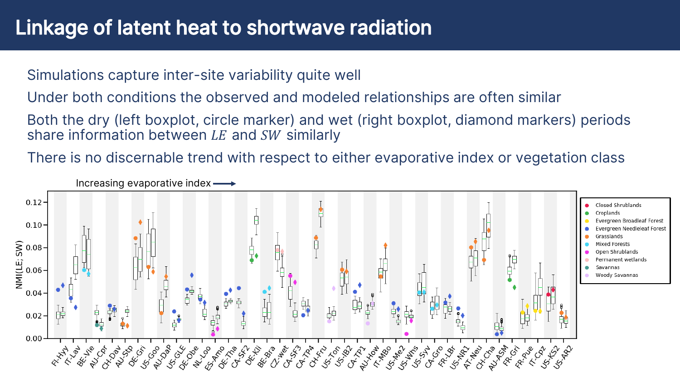### Linkage of latent heat to shortwave radiation

Simulations capture inter-site variability quite well

Under both conditions the observed and modeled relationships are often similar

Both the dry (left boxplot, circle marker) and wet (right boxplot, diamond markers) periods share information between  $LE$  and  $SW$  similarly

There is no discernable trend with respect to either evaporative index or vegetation class

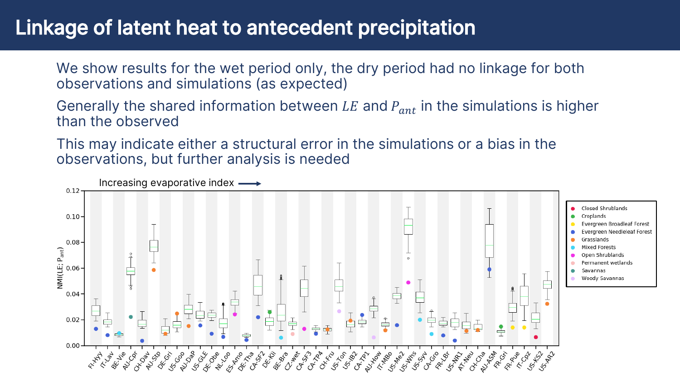### Linkage of latent heat to antecedent precipitation

We show results for the wet period only, the dry period had no linkage for both observations and simulations (as expected)

Generally the shared information between LE and  $P_{ant}$  in the simulations is higher than the observed

This may indicate either a structural error in the simulations or a bias in the observations, but further analysis is needed